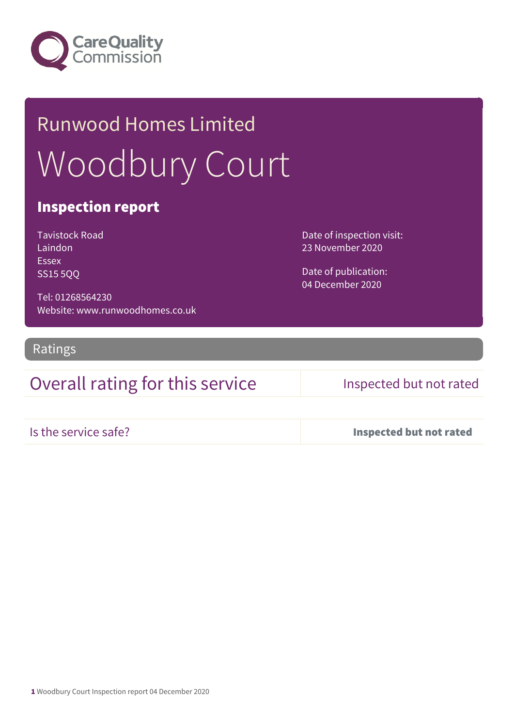

# Runwood Homes Limited Woodbury Court

### Inspection report

Tavistock Road Laindon Essex SS15 5QQ

Tel: 01268564230 Website: www.runwoodhomes.co.uk

Ratings

## Overall rating for this service Inspected but not rated

Date of inspection visit: 23 November 2020

Date of publication: 04 December 2020

Is the service safe? Inspected but not rated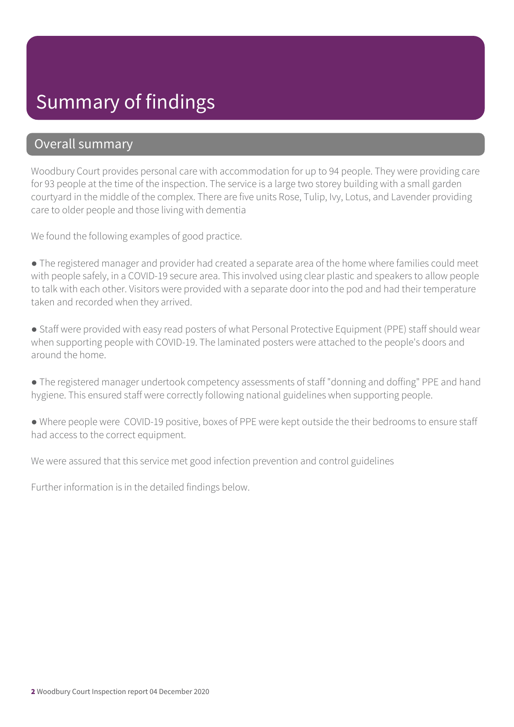# Summary of findings

### Overall summary

Woodbury Court provides personal care with accommodation for up to 94 people. They were providing care for 93 people at the time of the inspection. The service is a large two storey building with a small garden courtyard in the middle of the complex. There are five units Rose, Tulip, Ivy, Lotus, and Lavender providing care to older people and those living with dementia

We found the following examples of good practice.

● The registered manager and provider had created a separate area of the home where families could meet with people safely, in a COVID-19 secure area. This involved using clear plastic and speakers to allow people to talk with each other. Visitors were provided with a separate door into the pod and had their temperature taken and recorded when they arrived.

● Staff were provided with easy read posters of what Personal Protective Equipment (PPE) staff should wear when supporting people with COVID-19. The laminated posters were attached to the people's doors and around the home.

● The registered manager undertook competency assessments of staff "donning and doffing" PPE and hand hygiene. This ensured staff were correctly following national guidelines when supporting people.

● Where people were COVID-19 positive, boxes of PPE were kept outside the their bedrooms to ensure staff had access to the correct equipment.

We were assured that this service met good infection prevention and control guidelines

Further information is in the detailed findings below.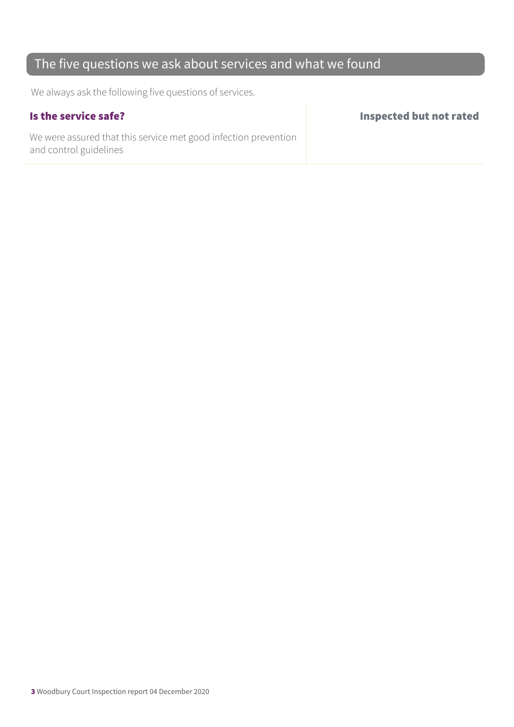## The five questions we ask about services and what we found

We always ask the following five questions of services.

We were assured that this service met good infection prevention and control guidelines

Is the service safe? Inspected but not rated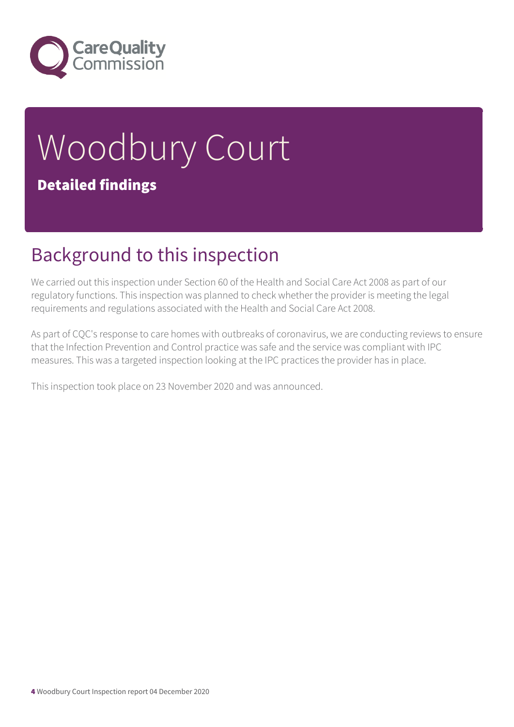

# Woodbury Court Detailed findings

# Background to this inspection

We carried out this inspection under Section 60 of the Health and Social Care Act 2008 as part of our regulatory functions. This inspection was planned to check whether the provider is meeting the legal requirements and regulations associated with the Health and Social Care Act 2008.

As part of CQC's response to care homes with outbreaks of coronavirus, we are conducting reviews to ensure that the Infection Prevention and Control practice was safe and the service was compliant with IPC measures. This was a targeted inspection looking at the IPC practices the provider has in place.

This inspection took place on 23 November 2020 and was announced.